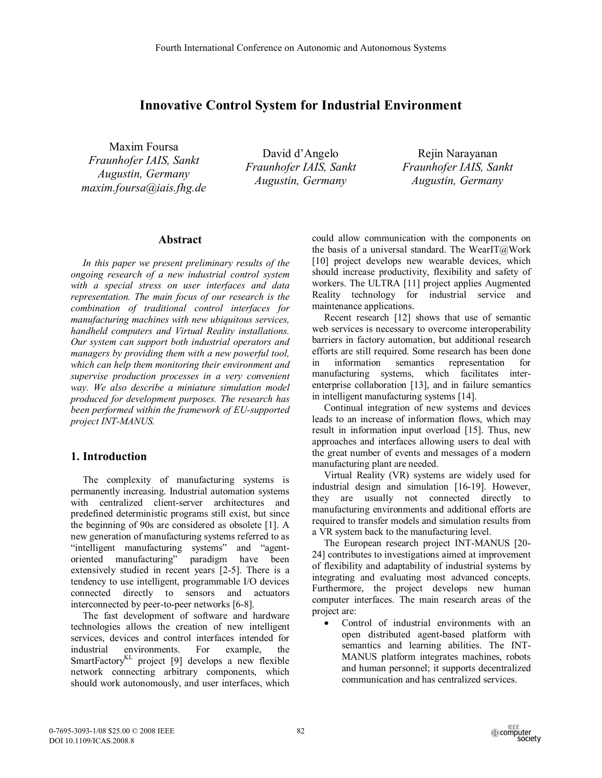# **Innovative Control System for Industrial Environment**

Maxim Foursa *Fraunhofer IAIS, Sankt Augustin, Germany maxim.foursa@iais.fhg.de* 

David d'Angelo *Fraunhofer IAIS, Sankt Augustin, Germany* 

Rejin Narayanan *Fraunhofer IAIS, Sankt Augustin, Germany* 

### **Abstract**

*In this paper we present preliminary results of the ongoing research of a new industrial control system with a special stress on user interfaces and data representation. The main focus of our research is the combination of traditional control interfaces for manufacturing machines with new ubiquitous services, handheld computers and Virtual Reality installations. Our system can support both industrial operators and managers by providing them with a new powerful tool, which can help them monitoring their environment and supervise production processes in a very convenient way. We also describe a miniature simulation model produced for development purposes. The research has been performed within the framework of EU-supported project INT-MANUS.* 

# **1. Introduction**

The complexity of manufacturing systems is permanently increasing. Industrial automation systems with centralized client-server architectures and predefined deterministic programs still exist, but since the beginning of 90s are considered as obsolete [1]. A new generation of manufacturing systems referred to as "intelligent manufacturing systems" and "agentoriented manufacturing" extensively studied in recent years [2-5]. There is a tendency to use intelligent, programmable I/O devices connected directly to sensors and actuators interconnected by peer-to-peer networks [6-8].

The fast development of software and hardware technologies allows the creation of new intelligent services, devices and control interfaces intended for industrial environments. For example, the SmartFactory<sup>KL</sup> project [9] develops a new flexible network connecting arbitrary components, which should work autonomously, and user interfaces, which

could allow communication with the components on the basis of a universal standard. The WearIT@Work [10] project develops new wearable devices, which should increase productivity, flexibility and safety of workers. The ULTRA [11] project applies Augmented Reality technology for industrial service and maintenance applications.

Recent research [12] shows that use of semantic web services is necessary to overcome interoperability barriers in factory automation, but additional research efforts are still required. Some research has been done in information semantics representation for manufacturing systems, which facilitates interenterprise collaboration [13], and in failure semantics in intelligent manufacturing systems [14].

Continual integration of new systems and devices leads to an increase of information flows, which may result in information input overload [15]. Thus, new approaches and interfaces allowing users to deal with the great number of events and messages of a modern manufacturing plant are needed.

Virtual Reality (VR) systems are widely used for industrial design and simulation [16-19]. However, they are usually not connected directly to manufacturing environments and additional efforts are required to transfer models and simulation results from a VR system back to the manufacturing level.

The European research project INT-MANUS [20- 24] contributes to investigations aimed at improvement of flexibility and adaptability of industrial systems by integrating and evaluating most advanced concepts. Furthermore, the project develops new human computer interfaces. The main research areas of the project are:

Control of industrial environments with an open distributed agent-based platform with semantics and learning abilities. The INT-MANUS platform integrates machines, robots and human personnel; it supports decentralized communication and has centralized services.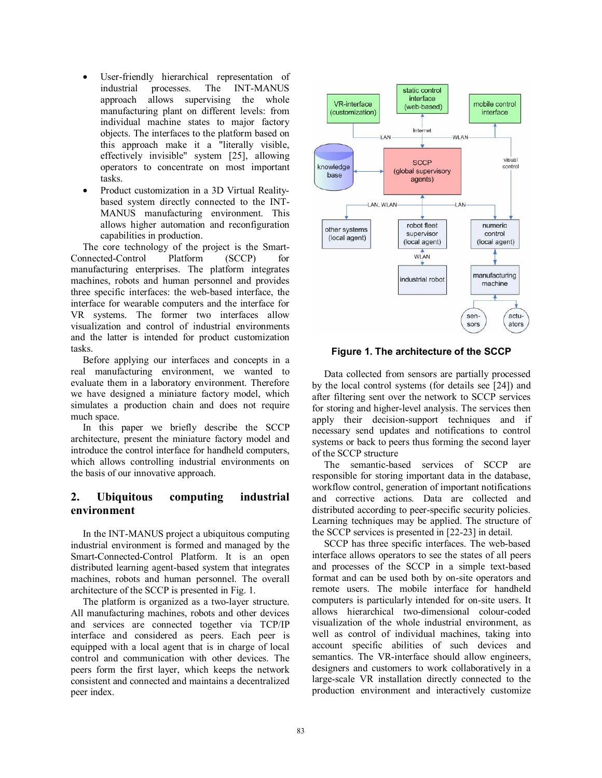- User-friendly hierarchical representation of industrial processes. The INT-MANUS approach allows supervising the whole manufacturing plant on different levels: from individual machine states to major factory objects. The interfaces to the platform based on this approach make it a "literally visible, effectively invisible" system [25], allowing operators to concentrate on most important tasks.
- Product customization in a 3D Virtual Realitybased system directly connected to the INT-MANUS manufacturing environment. This allows higher automation and reconfiguration capabilities in production.

The core technology of the project is the Smart-Connected-Control Platform (SCCP) for manufacturing enterprises. The platform integrates machines, robots and human personnel and provides three specific interfaces: the web-based interface, the interface for wearable computers and the interface for VR systems. The former two interfaces allow visualization and control of industrial environments and the latter is intended for product customization tasks.

Before applying our interfaces and concepts in a real manufacturing environment, we wanted to evaluate them in a laboratory environment. Therefore we have designed a miniature factory model, which simulates a production chain and does not require much space.

In this paper we briefly describe the SCCP architecture, present the miniature factory model and introduce the control interface for handheld computers, which allows controlling industrial environments on the basis of our innovative approach.

# **2. Ubiquitous computing industrial environment**

In the INT-MANUS project a ubiquitous computing industrial environment is formed and managed by the Smart-Connected-Control Platform. It is an open distributed learning agent-based system that integrates machines, robots and human personnel. The overall architecture of the SCCP is presented in Fig. 1.

The platform is organized as a two-layer structure. All manufacturing machines, robots and other devices and services are connected together via TCP/IP interface and considered as peers. Each peer is equipped with a local agent that is in charge of local control and communication with other devices. The peers form the first layer, which keeps the network consistent and connected and maintains a decentralized peer index.



**Figure 1. The architecture of the SCCP** 

Data collected from sensors are partially processed by the local control systems (for details see [24]) and after filtering sent over the network to SCCP services for storing and higher-level analysis. The services then apply their decision-support techniques and if necessary send updates and notifications to control systems or back to peers thus forming the second layer of the SCCP structure

The semantic-based services of SCCP are responsible for storing important data in the database, workflow control, generation of important notifications and corrective actions. Data are collected and distributed according to peer-specific security policies. Learning techniques may be applied. The structure of the SCCP services is presented in [22-23] in detail.

SCCP has three specific interfaces. The web-based interface allows operators to see the states of all peers and processes of the SCCP in a simple text-based format and can be used both by on-site operators and remote users. The mobile interface for handheld computers is particularly intended for on-site users. It allows hierarchical two-dimensional colour-coded visualization of the whole industrial environment, as well as control of individual machines, taking into account specific abilities of such devices and semantics. The VR-interface should allow engineers, designers and customers to work collaboratively in a large-scale VR installation directly connected to the production environment and interactively customize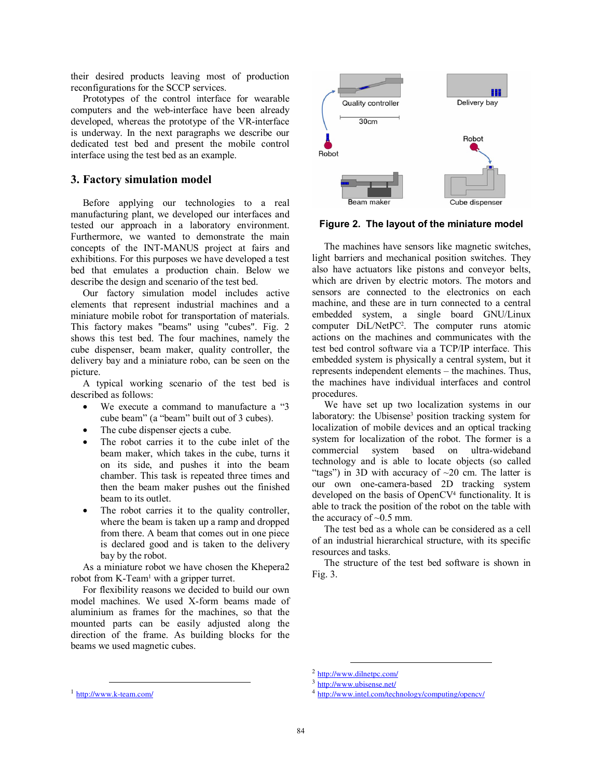their desired products leaving most of production reconfigurations for the SCCP services.

Prototypes of the control interface for wearable computers and the web-interface have been already developed, whereas the prototype of the VR-interface is underway. In the next paragraphs we describe our dedicated test bed and present the mobile control interface using the test bed as an example.

### **3. Factory simulation model**

Before applying our technologies to a real manufacturing plant, we developed our interfaces and tested our approach in a laboratory environment. Furthermore, we wanted to demonstrate the main concepts of the INT-MANUS project at fairs and exhibitions. For this purposes we have developed a test bed that emulates a production chain. Below we describe the design and scenario of the test bed.

Our factory simulation model includes active elements that represent industrial machines and a miniature mobile robot for transportation of materials. This factory makes "beams" using "cubes". Fig. 2 shows this test bed. The four machines, namely the cube dispenser, beam maker, quality controller, the delivery bay and a miniature robo, can be seen on the picture.

A typical working scenario of the test bed is described as follows:

- We execute a command to manufacture a "3" cube beam" (a "beam" built out of 3 cubes).
- The cube dispenser ejects a cube.
- The robot carries it to the cube inlet of the beam maker, which takes in the cube, turns it on its side, and pushes it into the beam chamber. This task is repeated three times and then the beam maker pushes out the finished beam to its outlet.
- The robot carries it to the quality controller, where the beam is taken up a ramp and dropped from there. A beam that comes out in one piece is declared good and is taken to the delivery bay by the robot.

As a miniature robot we have chosen the Khepera2 robot from K-Team<sup>1</sup> with a gripper turret.

For flexibility reasons we decided to build our own model machines. We used X-form beams made of aluminium as frames for the machines, so that the mounted parts can be easily adjusted along the direction of the frame. As building blocks for the beams we used magnetic cubes.



**Figure 2. The layout of the miniature model** 

The machines have sensors like magnetic switches, light barriers and mechanical position switches. They also have actuators like pistons and conveyor belts, which are driven by electric motors. The motors and sensors are connected to the electronics on each machine, and these are in turn connected to a central embedded system, a single board GNU/Linux computer DiL/NetPC2 . The computer runs atomic actions on the machines and communicates with the test bed control software via a TCP/IP interface. This embedded system is physically a central system, but it represents independent elements – the machines. Thus, the machines have individual interfaces and control procedures.

We have set up two localization systems in our laboratory: the Ubisense<sup>3</sup> position tracking system for localization of mobile devices and an optical tracking system for localization of the robot. The former is a commercial system based on ultra-wideband technology and is able to locate objects (so called "tags") in 3D with accuracy of  $\sim$ 20 cm. The latter is our own one-camera-based 2D tracking system developed on the basis of OpenCV4 functionality. It is able to track the position of the robot on the table with the accuracy of  $\sim 0.5$  mm.

The test bed as a whole can be considered as a cell of an industrial hierarchical structure, with its specific resources and tasks.

The structure of the test bed software is shown in Fig. 3.

<sup>2</sup> http://www.dilnetpc.com/

<sup>3</sup> http://www.ubisense.net/

<sup>4</sup> http://www.intel.com/technology/computing/opencv/

<sup>1</sup> http://www.k-team.com/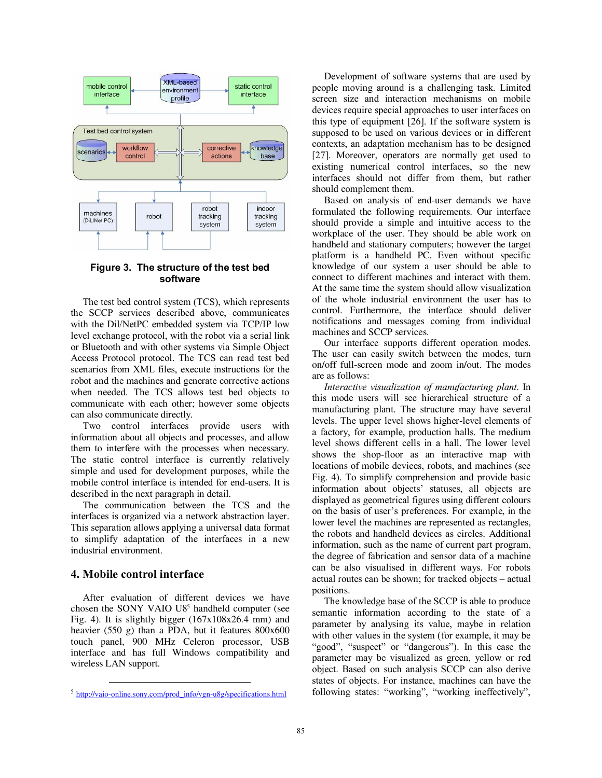

#### **Figure 3. The structure of the test bed software**

The test bed control system (TCS), which represents the SCCP services described above, communicates with the Dil/NetPC embedded system via TCP/IP low level exchange protocol, with the robot via a serial link or Bluetooth and with other systems via Simple Object Access Protocol protocol. The TCS can read test bed scenarios from XML files, execute instructions for the robot and the machines and generate corrective actions when needed. The TCS allows test bed objects to communicate with each other; however some objects can also communicate directly.

Two control interfaces provide users with information about all objects and processes, and allow them to interfere with the processes when necessary. The static control interface is currently relatively simple and used for development purposes, while the mobile control interface is intended for end-users. It is described in the next paragraph in detail.

The communication between the TCS and the interfaces is organized via a network abstraction layer. This separation allows applying a universal data format to simplify adaptation of the interfaces in a new industrial environment.

### **4. Mobile control interface**

After evaluation of different devices we have chosen the SONY VAIO U8<sup>5</sup> handheld computer (see Fig. 4). It is slightly bigger  $(167x108x26.4 \text{ mm})$  and heavier (550 g) than a PDA, but it features 800x600 touch panel, 900 MHz Celeron processor, USB interface and has full Windows compatibility and wireless LAN support.

Development of software systems that are used by people moving around is a challenging task. Limited screen size and interaction mechanisms on mobile devices require special approaches to user interfaces on this type of equipment [26]. If the software system is supposed to be used on various devices or in different contexts, an adaptation mechanism has to be designed [27]. Moreover, operators are normally get used to existing numerical control interfaces, so the new interfaces should not differ from them, but rather should complement them.

Based on analysis of end-user demands we have formulated the following requirements. Our interface should provide a simple and intuitive access to the workplace of the user. They should be able work on handheld and stationary computers; however the target platform is a handheld PC. Even without specific knowledge of our system a user should be able to connect to different machines and interact with them. At the same time the system should allow visualization of the whole industrial environment the user has to control. Furthermore, the interface should deliver notifications and messages coming from individual machines and SCCP services.

Our interface supports different operation modes. The user can easily switch between the modes, turn on/off full-screen mode and zoom in/out. The modes are as follows:

*Interactive visualization of manufacturing plant*. In this mode users will see hierarchical structure of a manufacturing plant. The structure may have several levels. The upper level shows higher-level elements of a factory, for example, production halls. The medium level shows different cells in a hall. The lower level shows the shop-floor as an interactive map with locations of mobile devices, robots, and machines (see Fig. 4). To simplify comprehension and provide basic information about objects' statuses, all objects are displayed as geometrical figures using different colours on the basis of user's preferences. For example, in the lower level the machines are represented as rectangles, the robots and handheld devices as circles. Additional information, such as the name of current part program, the degree of fabrication and sensor data of a machine can be also visualised in different ways. For robots actual routes can be shown; for tracked objects – actual positions.

The knowledge base of the SCCP is able to produce semantic information according to the state of a parameter by analysing its value, maybe in relation with other values in the system (for example, it may be "good", "suspect" or "dangerous"). In this case the parameter may be visualized as green, yellow or red object. Based on such analysis SCCP can also derive states of objects. For instance, machines can have the following states: "working", "working ineffectively",

<sup>5</sup> http://vaio-online.sony.com/prod\_info/vgn-u8g/specifications.html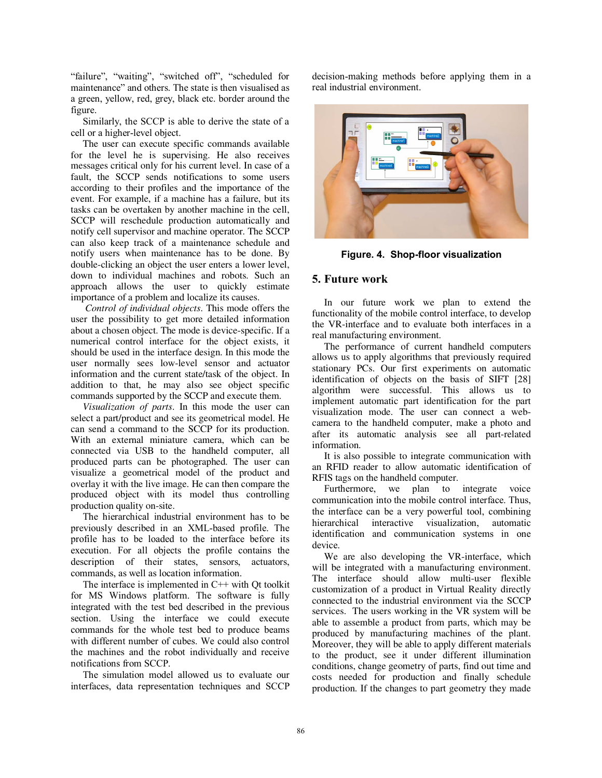"failure", "waiting", "switched off", "scheduled for maintenance" and others. The state is then visualised as a green, yellow, red, grey, black etc. border around the figure.

Similarly, the SCCP is able to derive the state of a cell or a higher-level object.

The user can execute specific commands available for the level he is supervising. He also receives messages critical only for his current level. In case of a fault, the SCCP sends notifications to some users according to their profiles and the importance of the event. For example, if a machine has a failure, but its tasks can be overtaken by another machine in the cell, SCCP will reschedule production automatically and notify cell supervisor and machine operator. The SCCP can also keep track of a maintenance schedule and notify users when maintenance has to be done. By double-clicking an object the user enters a lower level, down to individual machines and robots. Such an approach allows the user to quickly estimate importance of a problem and localize its causes.

 *Control of individual objects*. This mode offers the user the possibility to get more detailed information about a chosen object. The mode is device-specific. If a numerical control interface for the object exists, it should be used in the interface design. In this mode the user normally sees low-level sensor and actuator information and the current state/task of the object. In addition to that, he may also see object specific commands supported by the SCCP and execute them.

*Visualization of parts*. In this mode the user can select a part/product and see its geometrical model. He can send a command to the SCCP for its production. With an external miniature camera, which can be connected via USB to the handheld computer, all produced parts can be photographed. The user can visualize a geometrical model of the product and overlay it with the live image. He can then compare the produced object with its model thus controlling production quality on-site.

The hierarchical industrial environment has to be previously described in an XML-based profile. The profile has to be loaded to the interface before its execution. For all objects the profile contains the description of their states, sensors, actuators, commands, as well as location information.

The interface is implemented in  $C++$  with Qt toolkit for MS Windows platform. The software is fully integrated with the test bed described in the previous section. Using the interface we could execute commands for the whole test bed to produce beams with different number of cubes. We could also control the machines and the robot individually and receive notifications from SCCP.

The simulation model allowed us to evaluate our interfaces, data representation techniques and SCCP

decision-making methods before applying them in a real industrial environment.



**Figure. 4. Shop-floor visualization** 

# **5. Future work**

In our future work we plan to extend the functionality of the mobile control interface, to develop the VR-interface and to evaluate both interfaces in a real manufacturing environment.

The performance of current handheld computers allows us to apply algorithms that previously required stationary PCs. Our first experiments on automatic identification of objects on the basis of SIFT [28] algorithm were successful. This allows us to implement automatic part identification for the part visualization mode. The user can connect a webcamera to the handheld computer, make a photo and after its automatic analysis see all part-related information.

It is also possible to integrate communication with an RFID reader to allow automatic identification of RFIS tags on the handheld computer.

Furthermore, we plan to integrate voice communication into the mobile control interface. Thus, the interface can be a very powerful tool, combining hierarchical interactive visualization, automatic identification and communication systems in one device.

We are also developing the VR-interface, which will be integrated with a manufacturing environment. The interface should allow multi-user flexible customization of a product in Virtual Reality directly connected to the industrial environment via the SCCP services. The users working in the VR system will be able to assemble a product from parts, which may be produced by manufacturing machines of the plant. Moreover, they will be able to apply different materials to the product, see it under different illumination conditions, change geometry of parts, find out time and costs needed for production and finally schedule production. If the changes to part geometry they made